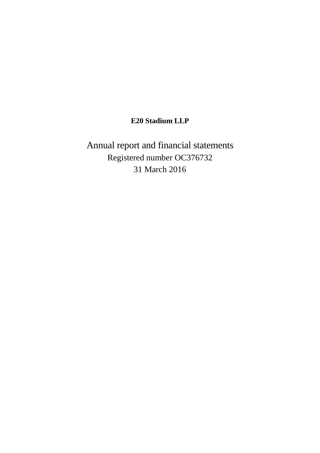# **E20 Stadium LLP**

Annual report and financial statements Registered number OC376732 31 March 2016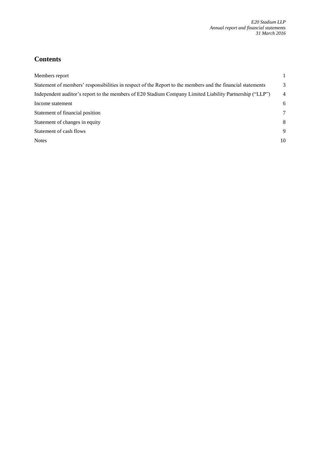## **Contents**

| Members report                                                                                              |                |
|-------------------------------------------------------------------------------------------------------------|----------------|
| Statement of members' responsibilities in respect of the Report to the members and the financial statements | 3              |
| Independent auditor's report to the members of E20 Stadium Company Limited Liability Partnership ("LLP")    | $\overline{4}$ |
| Income statement                                                                                            | 6              |
| Statement of financial position                                                                             | 7              |
| Statement of changes in equity                                                                              | 8              |
| Statement of cash flows                                                                                     | 9              |
| <b>Notes</b>                                                                                                | 10             |
|                                                                                                             |                |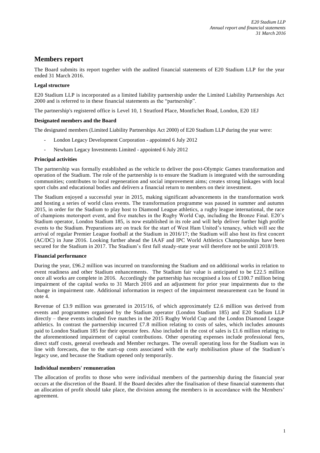## **Members report**

The Board submits its report together with the audited financial statements of E20 Stadium LLP for the year ended 31 March 2016.

## **Legal structure**

E20 Stadium LLP is incorporated as a limited liability partnership under the Limited Liability Partnerships Act 2000 and is referred to in these financial statements as the "partnership".

The partnership's registered office is Level 10, 1 Stratford Place, Montfichet Road, London, E20 1EJ

### **Designated members and the Board**

The designated members (Limited Liability Partnerships Act 2000) of E20 Stadium LLP during the year were:

- London Legacy Development Corporation appointed 6 July 2012
- Newham Legacy Investments Limited appointed 6 July 2012

### **Principal activities**

The partnership was formally established as the vehicle to deliver the post-Olympic Games transformation and operation of the Stadium. The role of the partnership is to ensure the Stadium is integrated with the surrounding communities; contributes to local regeneration and social improvement aims; creates strong linkages with local sport clubs and educational bodies and delivers a financial return to members on their investment.

The Stadium enjoyed a successful year in 2015, making significant advancements in the transformation work and hosting a series of world class events. The transformation programme was paused in summer and autumn 2015, in order for the Stadium to play host to Diamond League athletics, a rugby league international, the race of champions motorsport event, and five matches in the Rugby World Cup, including the Bronze Final. E20's Stadium operator, London Stadium 185, is now established in its role and will help deliver further high profile events to the Stadium. Preparations are on track for the start of West Ham United's tenancy, which will see the arrival of regular Premier League football at the Stadium in 2016/17; the Stadium will also host its first concert (AC/DC) in June 2016. Looking further ahead the IAAF and IPC World Athletics Championships have been secured for the Stadium in 2017. The Stadium's first full steady-state year will therefore not be until 2018/19.

### **Financial performance**

During the year, £96.2 million was incurred on transforming the Stadium and on additional works in relation to event readiness and other Stadium enhancements. The Stadium fair value is anticipated to be £22.5 million once all works are complete in 2016. Accordingly the partnership has recognised a loss of £100.7 million being impairment of the capital works to 31 March 2016 and an adjustment for prior year impairments due to the change in impairment rate. Additional information in respect of the impairment measurement can be found in note 4.

Revenue of £3.9 million was generated in 2015/16, of which approximately £2.6 million was derived from events and programmes organised by the Stadium operator (London Stadium 185) and E20 Stadium LLP directly – these events included five matches in the 2015 Rugby World Cup and the London Diamond League athletics. In contrast the partnership incurred £7.8 million relating to costs of sales, which includes amounts paid to London Stadium 185 for their operator fees. Also included in the cost of sales is £1.6 million relating to the aforementioned impairment of capital contributions. Other operating expenses include professional fees, direct staff costs, general overheads and Member recharges. The overall operating loss for the Stadium was in line with forecasts, due to the start-up costs associated with the early mobilisation phase of the Stadium's legacy use, and because the Stadium opened only temporarily.

### **Individual members' remuneration**

The allocation of profits to those who were individual members of the partnership during the financial year occurs at the discretion of the Board. If the Board decides after the finalisation of these financial statements that an allocation of profit should take place, the division among the members is in accordance with the Members' agreement.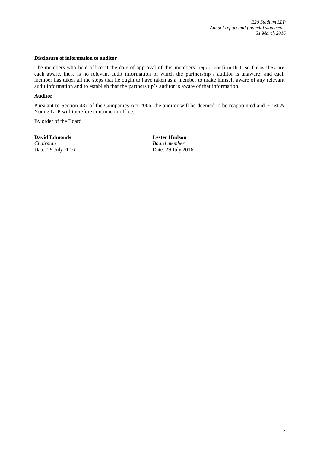## **Disclosure of information to auditor**

The members who held office at the date of approval of this members' report confirm that, so far as they are each aware, there is no relevant audit information of which the partnership's auditor is unaware; and each member has taken all the steps that he ought to have taken as a member to make himself aware of any relevant audit information and to establish that the partnership's auditor is aware of that information.

#### **Auditor**

Pursuant to Section 487 of the Companies Act 2006, the auditor will be deemed to be reappointed and Ernst & Young LLP will therefore continue in office.

By order of the Board

**David Edmonds** *Chairman* Date: 29 July 2016 **Lester Hudson** *Board member*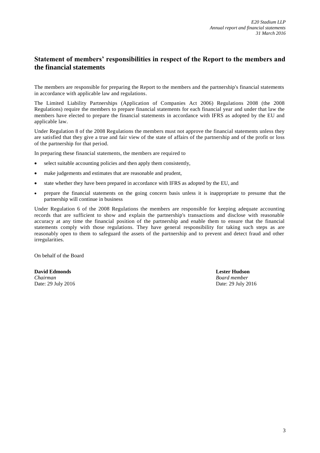## **Statement of members' responsibilities in respect of the Report to the members and the financial statements**

The members are responsible for preparing the Report to the members and the partnership's financial statements in accordance with applicable law and regulations.

The Limited Liability Partnerships (Application of Companies Act 2006) Regulations 2008 (the 2008 Regulations) require the members to prepare financial statements for each financial year and under that law the members have elected to prepare the financial statements in accordance with IFRS as adopted by the EU and applicable law.

Under Regulation 8 of the 2008 Regulations the members must not approve the financial statements unless they are satisfied that they give a true and fair view of the state of affairs of the partnership and of the profit or loss of the partnership for that period.

In preparing these financial statements, the members are required to

- select suitable accounting policies and then apply them consistently,
- make judgements and estimates that are reasonable and prudent,
- state whether they have been prepared in accordance with IFRS as adopted by the EU, and
- prepare the financial statements on the going concern basis unless it is inappropriate to presume that the partnership will continue in business

Under Regulation 6 of the 2008 Regulations the members are responsible for keeping adequate accounting records that are sufficient to show and explain the partnership's transactions and disclose with reasonable accuracy at any time the financial position of the partnership and enable them to ensure that the financial statements comply with those regulations. They have general responsibility for taking such steps as are reasonably open to them to safeguard the assets of the partnership and to prevent and detect fraud and other irregularities.

On behalf of the Board

**David Edmonds** *Chairman* Date: 29 July 2016 Date: 29 July 2016

**Lester Hudson** *Board member*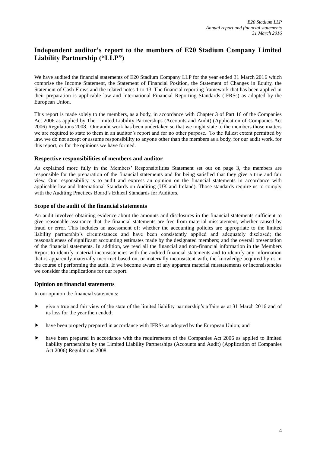## **Independent auditor's report to the members of E20 Stadium Company Limited Liability Partnership ("LLP")**

We have audited the financial statements of E20 Stadium Company LLP for the year ended 31 March 2016 which comprise the Income Statement, the Statement of Financial Position, the Statement of Changes in Equity, the Statement of Cash Flows and the related notes 1 to 13. The financial reporting framework that has been applied in their preparation is applicable law and International Financial Reporting Standards (IFRSs) as adopted by the European Union.

This report is made solely to the members, as a body, in accordance with Chapter 3 of Part 16 of the Companies Act 2006 as applied by The Limited Liability Partnerships (Accounts and Audit) (Application of Companies Act 2006) Regulations 2008. Our audit work has been undertaken so that we might state to the members those matters we are required to state to them in an auditor's report and for no other purpose. To the fullest extent permitted by law, we do not accept or assume responsibility to anyone other than the members as a body, for our audit work, for this report, or for the opinions we have formed.

## **Respective responsibilities of members and auditor**

As explained more fully in the Members' Responsibilities Statement set out on page 3, the members are responsible for the preparation of the financial statements and for being satisfied that they give a true and fair view. Our responsibility is to audit and express an opinion on the financial statements in accordance with applicable law and International Standards on Auditing (UK and Ireland). Those standards require us to comply with the Auditing Practices Board's Ethical Standards for Auditors.

## **Scope of the audit of the financial statements**

An audit involves obtaining evidence about the amounts and disclosures in the financial statements sufficient to give reasonable assurance that the financial statements are free from material misstatement, whether caused by fraud or error. This includes an assessment of: whether the accounting policies are appropriate to the limited liability partnership's circumstances and have been consistently applied and adequately disclosed; the reasonableness of significant accounting estimates made by the designated members; and the overall presentation of the financial statements. In addition, we read all the financial and non-financial information in the Members Report to identify material inconsistencies with the audited financial statements and to identify any information that is apparently materially incorrect based on, or materially inconsistent with, the knowledge acquired by us in the course of performing the audit. If we become aware of any apparent material misstatements or inconsistencies we consider the implications for our report.

## **Opinion on financial statements**

In our opinion the financial statements:

- give a true and fair view of the state of the limited liability partnership's affairs as at 31 March 2016 and of its loss for the year then ended;
- have been properly prepared in accordance with IFRSs as adopted by the European Union; and
- have been prepared in accordance with the requirements of the Companies Act 2006 as applied to limited liability partnerships by the Limited Liability Partnerships (Accounts and Audit) (Application of Companies Act 2006) Regulations 2008.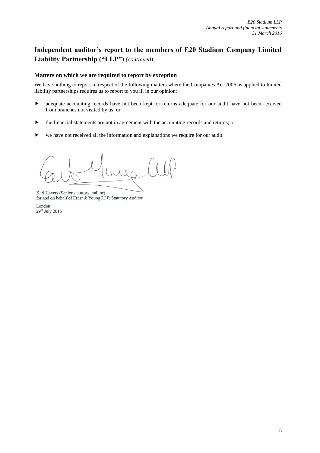## **Independent auditor's report to the members of E20 Stadium Company Limited Liability Partnership ("LLP")** *(continued)*

## **Matters on which we are required to report by exception**

We have nothing to report in respect of the following matters where the Companies Act 2006 as applied to limited liability partnerships requires us to report to you if, in our opinion:

- adequate accounting records have not been kept, or returns adequate for our audit have not been received from branches not visited by us; or
- the financial statements are not in agreement with the accounting records and returns; or
- we have not received all the information and explanations we require for our audit.

Karl Havers (Senior statutory auditor) for and on behalf of Ernst & Young LLP, Statutory Auditor London

29<sup>th</sup> July 2016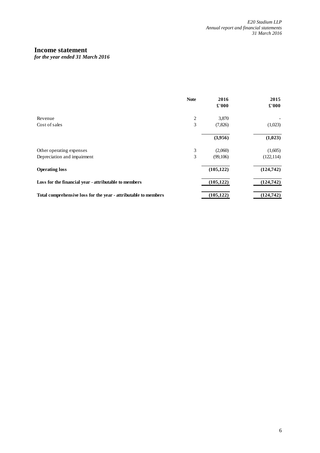## **Income statement**

*for the year ended 31 March 2016*

|                                                                 | <b>Note</b> | 2016<br>£'000 | 2015<br>£'000 |
|-----------------------------------------------------------------|-------------|---------------|---------------|
| Revenue                                                         | 2           | 3,870         |               |
| Cost of sales                                                   | 3           | (7, 826)      | (1,023)       |
|                                                                 |             | (3,956)       | (1,023)       |
| Other operating expenses                                        | 3           | (2,060)       | (1,605)       |
| Depreciation and impairment                                     | 3           | (99,106)      | (122, 114)    |
| <b>Operating loss</b>                                           |             | (105, 122)    | (124, 742)    |
| Loss for the financial year - attributable to members           |             | (105, 122)    | (124, 742)    |
| Total comprehensive loss for the year - attributable to members |             | (105, 122)    | (124, 742)    |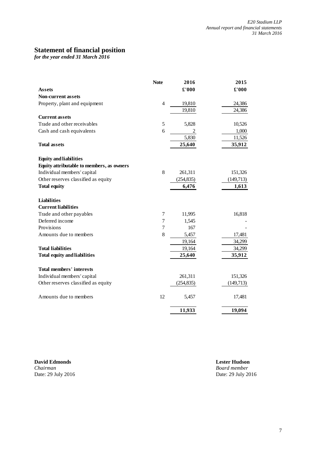## **Statement of financial position**

*for the year ended 31 March 2016*

|                                           | <b>Note</b>    | 2016          | 2015          |
|-------------------------------------------|----------------|---------------|---------------|
| <b>Assets</b>                             |                | $\pounds 000$ | $\pounds 000$ |
| Non-current assets                        |                |               |               |
| Property, plant and equipment             | $\overline{4}$ | 19,810        | 24,386        |
|                                           |                | 19,810        | 24,386        |
| <b>Current assets</b>                     |                |               |               |
| Trade and other receivables               | 5              | 5,828         | 10,526        |
| Cash and cash equivalents                 | 6              |               | 1,000         |
|                                           |                | 5,830         | 11,526        |
| <b>Total assets</b>                       |                | 25,640        | 35,912        |
| <b>Equity and liabilities</b>             |                |               |               |
| Equity attributable to members, as owners |                |               |               |
| Individual members' capital               | 8              | 261,311       | 151,326       |
| Other reserves classified as equity       |                | (254, 835)    | (149, 713)    |
| <b>Total equity</b>                       |                | 6,476         | 1,613         |
| <b>Liabilities</b>                        |                |               |               |
| <b>Current liabilities</b>                |                |               |               |
| Trade and other payables                  | 7              | 11,995        | 16,818        |
| Deferred income                           | $\tau$         | 1,545         |               |
| Provisions                                | $\tau$         | 167           |               |
| Amounts due to members                    | 8              | 5,457         | 17,481        |
|                                           |                | 19,164        | 34,299        |
| <b>Total liabilities</b>                  |                | 19,164        | 34,299        |
| <b>Total equity and liabilities</b>       |                | 25,640        | 35,912        |
| <b>Total members' interests</b>           |                |               |               |
| Individual members' capital               |                | 261,311       | 151,326       |
| Other reserves classified as equity       |                | (254, 835)    | (149,713)     |
| Amounts due to members                    | 12             | 5,457         | 17,481        |
|                                           |                | 11,933        | 19,094        |

**David Edmonds** *Chairman* Date: 29 July 2016 **Lester Hudson** *Board member*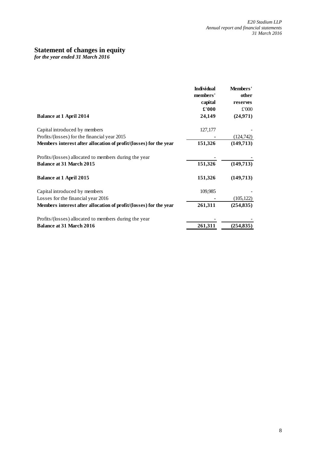## **Statement of changes in equity**

*for the year ended 31 March 2016*

| <b>Balance at 1 April 2014</b>                                    | <b>Individual</b><br>members'<br>capital<br>$\pounds 000$<br>24,149 | Members'<br>other<br>reserves<br>£'000<br>(24, 971) |
|-------------------------------------------------------------------|---------------------------------------------------------------------|-----------------------------------------------------|
| Capital introduced by members                                     | 127,177                                                             |                                                     |
| Profits/(losses) for the financial year 2015                      |                                                                     | (124, 742)                                          |
| Members interest after allocation of profit/(losses) for the year | 151,326                                                             | (149,713)                                           |
| Profits/(losses) allocated to members during the year             |                                                                     |                                                     |
| <b>Balance at 31 March 2015</b>                                   | 151,326                                                             | (149,713)                                           |
| <b>Balance at 1 April 2015</b>                                    | 151,326                                                             | (149,713)                                           |
| Capital introduced by members                                     | 109,985                                                             |                                                     |
| Losses for the financial year 2016                                |                                                                     | (105, 122)                                          |
| Members interest after allocation of profit/(losses) for the year | 261,311                                                             | (254, 835)                                          |
| Profits/(losses) allocated to members during the year             |                                                                     |                                                     |
| <b>Balance at 31 March 2016</b>                                   | 261,311                                                             | (254, 835)                                          |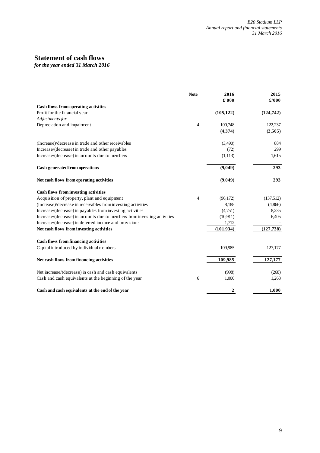## **Statement of cash flows**

*for the year ended 31 March 2016*

|                                                                         | <b>Note</b>    | 2016<br>$\pounds$ '000 | 2015<br>$\pounds 000$ |
|-------------------------------------------------------------------------|----------------|------------------------|-----------------------|
| Cash flows from operating activities                                    |                |                        |                       |
| Profit for the financial year                                           |                | (105, 122)             | (124, 742)            |
| Adjustments for                                                         |                |                        |                       |
| Depreciation and impairment                                             | $\overline{4}$ | 100,748                | 122,237               |
|                                                                         |                | (4,374)                | (2,505)               |
| (Increase)/decrease in trade and other receivables                      |                | (3,490)                | 884                   |
| Increase/(decrease) in trade and other payables                         |                | (72)                   | 299                   |
| Increase/(decrease) in amounts due to members                           |                | (1,113)                | 1,615                 |
| Cash generated from operations                                          |                | (9,049)                | 293                   |
| Net cash flows from operating activities                                |                | (9,049)                | 293                   |
| Cash flows from investing activities                                    |                |                        |                       |
| Acquisition of property, plant and equipment                            | $\overline{4}$ | (96,172)               | (137,512)             |
| (Increase)/decrease in receivables from investing activities            |                | 8,188                  | (4,866)               |
| Increase/(decrease) in payables from investing activities               |                | (4,751)                | 8,235                 |
| Increase/(decrease) in amounts due to members from investing activities |                | (10.911)               | 6,405                 |
| Increase/(decrease) in deferred income and provisions                   |                | 1,712                  |                       |
| Net cash flows from investing activities                                |                | (101, 934)             | (127, 738)            |
| Cash flows from financing activities                                    |                |                        |                       |
| Capital introduced by individual members                                |                | 109,985                | 127,177               |
| Net cash flows from financing activities                                |                | 109,985                | 127,177               |
| Net increase/(decrease) in cash and cash equivalents                    |                | (998)                  | (268)                 |
| Cash and cash equivalents at the beginning of the year                  | 6              | 1,000                  | 1,268                 |
| Cash and cash equivalents at the end of the year                        |                | $\overline{2}$         | 1,000                 |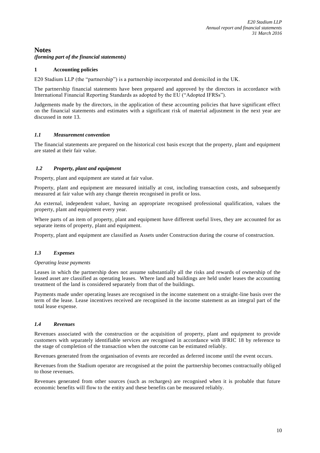## **Notes**

*(forming part of the financial statements)*

## **1 Accounting policies**

E20 Stadium LLP (the "partnership") is a partnership incorporated and domiciled in the UK.

The partnership financial statements have been prepared and approved by the directors in accordance with International Financial Reporting Standards as adopted by the EU ("Adopted IFRSs").

Judgements made by the directors, in the application of these accounting policies that have significant effect on the financial statements and estimates with a significant risk of material adjustment in the next year are discussed in note 13.

## *1.1 Measurement convention*

The financial statements are prepared on the historical cost basis except that the property, plant and equipment are stated at their fair value.

## *1.2 Property, plant and equipment*

Property, plant and equipment are stated at fair value.

Property, plant and equipment are measured initially at cost, including transaction costs, and subsequently measured at fair value with any change therein recognised in profit or loss.

An external, independent valuer, having an appropriate recognised professional qualification, values the property, plant and equipment every year.

Where parts of an item of property, plant and equipment have different useful lives, they are accounted for as separate items of property, plant and equipment.

Property, plant and equipment are classified as Assets under Construction during the course of construction.

## *1.3 Expenses*

### *Operating lease payments*

Leases in which the partnership does not assume substantially all the risks and rewards of ownership of the leased asset are classified as operating leases. Where land and buildings are held under leases the accounting treatment of the land is considered separately from that of the buildings.

Payments made under operating leases are recognised in the income statement on a straight-line basis over the term of the lease. Lease incentives received are recognised in the income statement as an integral part of the total lease expense.

### *1.4 Revenues*

Revenues associated with the construction or the acquisition of property, plant and equipment to provide customers with separately identifiable services are recognised in accordance with IFRIC 18 by reference to the stage of completion of the transaction when the outcome can be estimated reliably.

Revenues generated from the organisation of events are recorded as deferred income until the event occurs.

Revenues from the Stadium operator are recognised at the point the partnership becomes contractually oblig ed to those revenues.

Revenues generated from other sources (such as recharges) are recognised when it is probable that future economic benefits will flow to the entity and these benefits can be measured reliably.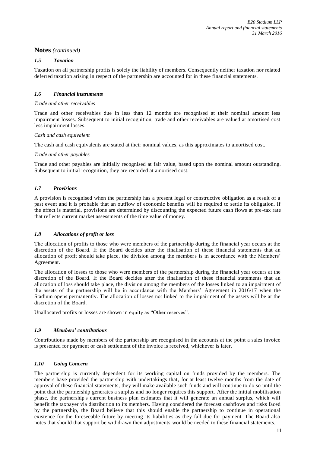## *1.5 Taxation*

Taxation on all partnership profits is solely the liability of members. Consequently neither taxation nor related deferred taxation arising in respect of the partnership are accounted for in these financial statements.

## *1.6 Financial instruments*

### *Trade and other receivables*

Trade and other receivables due in less than 12 months are recognised at their nominal amount less impairment losses. Subsequent to initial recognition, trade and other receivables are valued at amortised cost less impairment losses.

### *Cash and cash equivalent*

The cash and cash equivalents are stated at their nominal values, as this approximates to amortised cost.

## *Trade and other payables*

Trade and other payables are initially recognised at fair value, based upon the nominal amount outstanding. Subsequent to initial recognition, they are recorded at amortised cost.

## *1.7 Provisions*

A provision is recognised when the partnership has a present legal or constructive obligation as a result of a past event and it is probable that an outflow of economic benefits will be required to settle its obligation. If the effect is material, provisions are determined by discounting the expected future cash flows at pre -tax rate that reflects current market assessments of the time value of money.

## *1.8 Allocations of profit or loss*

The allocation of profits to those who were members of the partnership during the financial year occurs at the discretion of the Board. If the Board decides after the finalisation of these financial statements that an allocation of profit should take place, the division among the members is in accordance with the Members' Agreement.

The allocation of losses to those who were members of the partnership during the financial year occurs at the discretion of the Board. If the Board decides after the finalisation of these financial statements that an allocation of loss should take place, the division among the members of the losses linked to an impairment of the assets of the partnership will be in accordance with the Members' Agreement in 2016/17 when the Stadium opens permanently. The allocation of losses not linked to the impairment of the assets will be at the discretion of the Board.

Unallocated profits or losses are shown in equity as "Other reserves".

## *1.9 Members' contributions*

Contributions made by members of the partnership are recognised in the accounts at the point a sales invoice is presented for payment or cash settlement of the invoice is received, whichever is later.

## *1.10 Going Concern*

The partnership is currently dependent for its working capital on funds provided by the members. The members have provided the partnership with undertakings that, for at least twelve months from the date of approval of these financial statements, they will make available such funds and will continue to do so until the point that the partnership generates a surplus and no longer requires this support. After the initial mobilisation phase, the partnership's current business plan estimates that it will generate an annual surplus, which will benefit the taxpayer via distribution to its members. Having considered the forecast cashflows and risks faced by the partnership, the Board believe that this should enable the partnership to continue in operational existence for the foreseeable future by meeting its liabilities as they fall due for payment. The Board also notes that should that support be withdrawn then adjustments would be needed to these financial statements.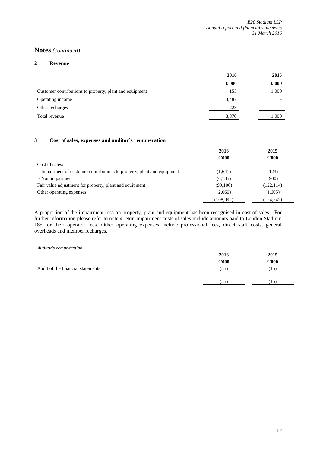## **2 Revenue**

|                                                         | 2016  | 2015          |
|---------------------------------------------------------|-------|---------------|
|                                                         | £'000 | $\pounds 000$ |
| Customer contributions to property, plant and equipment | 155   | 1,000         |
| Operating income                                        | 3,487 |               |
| Other recharges                                         | 228   |               |
| Total revenue                                           | 3,870 | 1,000         |

## **3 Cost of sales, expenses and auditor's remuneration**

|                                                                         | 2016<br>$\pounds 000$ | 2015<br>$\pounds 000$ |
|-------------------------------------------------------------------------|-----------------------|-----------------------|
| Cost of sales:                                                          |                       |                       |
| - Impairment of customer contributions to property, plant and equipment | (1,641)               | (123)                 |
| - Non impairment                                                        | (6,185)               | (900)                 |
| Fair value adjustment for property, plant and equipment                 | (99,106)              | (122, 114)            |
| Other operating expenses                                                | (2,060)               | (1,605)               |
|                                                                         | (108,992)             | (124.742)             |

A proportion of the impairment loss on property, plant and equipment has been recognised in cost of sales. For further information please refer to note 4. Non-impairment costs of sales include amounts paid to London Stadium 185 for their operator fees. Other operating expenses include professional fees, direct staff costs, general overheads and member recharges.

*Auditor's remuneration* 

|                                   | 2016  | 2015          |
|-----------------------------------|-------|---------------|
|                                   | £'000 | $\pounds 000$ |
| Audit of the financial statements | (35)  | (15)          |
|                                   |       |               |
|                                   | (35)  | (15)          |
|                                   |       |               |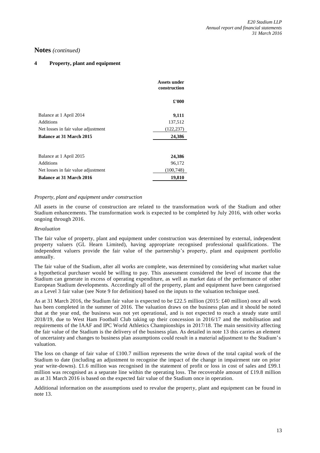## **4 Property, plant and equipment**

|                                     | Assets under<br>construction |
|-------------------------------------|------------------------------|
|                                     | £'000                        |
| Balance at 1 April 2014             | 9,111                        |
| <b>Additions</b>                    | 137,512                      |
| Net losses in fair value adjustment | (122, 237)                   |
| Balance at 31 March 2015            | 24,386                       |
| Balance at 1 April 2015             | 24,386                       |
| Additions                           | 96,172                       |
| Net losses in fair value adjustment | (100, 748)                   |
| Balance at 31 March 2016            | 19,810                       |

### *Property, plant and equipment under construction*

All assets in the course of construction are related to the transformation work of the Stadium and other Stadium enhancements. The transformation work is expected to be completed by July 2016, with other works ongoing through 2016.

#### *Revaluation*

The fair value of property, plant and equipment under construction was determined by external, independent property valuers (GL Hearn Limited), having appropriate recognised professional qualifications. The independent valuers provide the fair value of the partnership's property, plant and equipment portfolio annually.

The fair value of the Stadium, after all works are complete, was determined by considering what market value a hypothetical purchaser would be willing to pay. This assessment considered the level of income that the Stadium can generate in excess of operating expenditure, as well as market data of the performance of other European Stadium developments. Accordingly all of the property, plant and equipment have been categorised as a Level 3 fair value (see Note 9 for definition) based on the inputs to the valuation technique used.

As at 31 March 2016, the Stadium fair value is expected to be £22.5 million (2015: £40 million) once all work has been completed in the summer of 2016. The valuation draws on the business plan and it should be noted that at the year end, the business was not yet operational, and is not expected to reach a steady state until 2018/19, due to West Ham Football Club taking up their concession in 2016/17 and the mobilisation and requirements of the IAAF and IPC World Athletics Championships in 2017/18. The main sensitivity affecting the fair value of the Stadium is the delivery of the business plan. As detailed in note 13 this carries an element of uncertainty and changes to business plan assumptions could result in a material adjustment to the Stadium's valuation.

The loss on change of fair value of £100.7 million represents the write down of the total capital work of the Stadium to date (including an adjustment to recognise the impact of the change in impairment rate on prior year write-downs). £1.6 million was recognised in the statement of profit or loss in cost of sales and £99.1 million was recognised as a separate line within the operating loss. The recoverable amount of £19.8 million as at 31 March 2016 is based on the expected fair value of the Stadium once in operation.

Additional information on the assumptions used to revalue the property, plant and equipment can be found in note 13.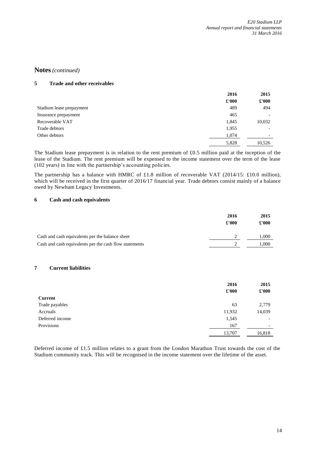## **5 Trade and other receivables**

|                          | 2016          | 2015   |
|--------------------------|---------------|--------|
|                          | $\pounds 000$ | £'000  |
| Stadium lease prepayment | 489           | 494    |
| Insurance prepayment     | 465           |        |
| Recoverable VAT          | 1,845         | 10,032 |
| Trade debtors            | 1,955         | -      |
| Other debtors            | 1,074         | -      |
|                          | 5,828         | 10.526 |

The Stadium lease prepayment is in relation to the rent premium of £0.5 million paid at the inception of the lease of the Stadium. The rent premium will be expensed to the income statement over the term of the lease (102 years) in line with the partnership's accounting policies.

The partnership has a balance with HMRC of £1.8 million of recoverable VAT (2014/15: £10.0 million), which will be received in the first quarter of 2016/17 financial year. Trade debtors consist mainly of a balance owed by Newham Legacy Investments.

### **6 Cash and cash equivalents**

|                                                        | 2016<br>£'000 | 2015<br>$\pounds 000$ |
|--------------------------------------------------------|---------------|-----------------------|
| Cash and cash equivalents per the balance sheet        |               | .000                  |
| Cash and cash equivalents per the cash flow statements |               | 000.                  |

## **7 Current liabilities**

|                 | 2016<br>£'000 | 2015<br>$\pounds 000$    |
|-----------------|---------------|--------------------------|
| <b>Current</b>  |               |                          |
| Trade payables  | 63            | 2,779                    |
| Accruals        | 11,932        | 14,039                   |
| Deferred income | 1,545         | $\overline{\phantom{0}}$ |
| Provisions      | 167           | $\overline{\phantom{a}}$ |
|                 | 13,707        | 16,818                   |

Deferred income of £1.5 million relates to a grant from the London Marathon Trust towards the cost of the Stadium community track. This will be recognised in the income statement over the lifetime of the asset.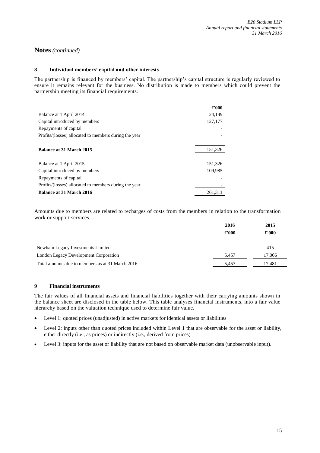### **8 Individual members' capital and other interests**

The partnership is financed by members' capital. The partnership's capital structure is regularly reviewed to ensure it remains relevant for the business. No distribution is made to members which could prevent the partnership meeting its financial requirements.

|                                                       | £'000   |
|-------------------------------------------------------|---------|
| Balance at 1 April 2014                               | 24,149  |
| Capital introduced by members                         | 127,177 |
| Repayments of capital                                 |         |
| Profits/(losses) allocated to members during the year |         |
|                                                       |         |
| <b>Balance at 31 March 2015</b>                       | 151,326 |
|                                                       |         |
| Balance at 1 April 2015                               | 151,326 |
| Capital introduced by members                         | 109,985 |
| Repayments of capital                                 |         |
| Profits/(losses) allocated to members during the year |         |
| <b>Balance at 31 March 2016</b>                       | 261,311 |

Amounts due to members are related to recharges of costs from the members in relation to the transformation work or support services.

|                                                  | 2016  | 2015   |  |
|--------------------------------------------------|-------|--------|--|
|                                                  | £'000 | £'000  |  |
|                                                  |       |        |  |
| Newham Legacy Investments Limited                |       | 415    |  |
| London Legacy Development Corporation            | 5.457 | 17.066 |  |
| Total amounts due to members as at 31 March 2016 | 5.457 | 17.481 |  |

## **9 Financial instruments**

The fair values of all financial assets and financial liabilities together with their carrying amounts shown in the balance sheet are disclosed in the table below. This table analyses financial instruments, into a fair value hierarchy based on the valuation technique used to determine fair value.

- Level 1: quoted prices (unadjusted) in active markets for identical assets or liabilities
- Level 2: inputs other than quoted prices included within Level 1 that are observable for the asset or liability, either directly (i.e., as prices) or indirectly (i.e., derived from prices)
- Level 3: inputs for the asset or liability that are not based on observable market data (unobservable input).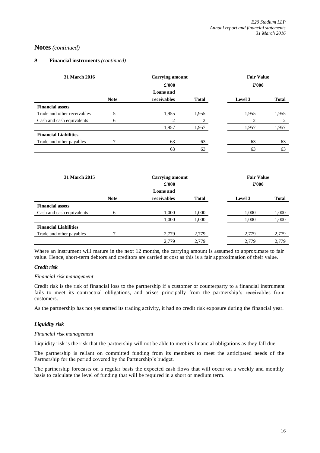## *9* **Financial instruments** *(continued)*

| 31 March 2016                |             | <b>Carrying amount</b> |              | <b>Fair Value</b> |              |
|------------------------------|-------------|------------------------|--------------|-------------------|--------------|
|                              |             | £'000                  |              | £'000             |              |
|                              |             | <b>Loans</b> and       |              |                   |              |
|                              | <b>Note</b> | receivables            | <b>Total</b> | Level 3           | <b>Total</b> |
| <b>Financial assets</b>      |             |                        |              |                   |              |
| Trade and other receivables  | 5           | 1,955                  | 1,955        | 1,955             | 1,955        |
| Cash and cash equivalents    | 6           | 2                      | 2            | 2                 | 2            |
|                              |             | 1,957                  | 1,957        | 1,957             | 1,957        |
| <b>Financial Liabilities</b> |             |                        |              |                   |              |
| Trade and other payables     |             | 63                     | 63           | 63                | 63           |
|                              |             | 63                     | 63           | 63                | 63           |

| 31 March 2015                |             | <b>Carrying amount</b> |              |         | <b>Fair Value</b> |  |
|------------------------------|-------------|------------------------|--------------|---------|-------------------|--|
|                              |             | £'000                  |              | £'000   |                   |  |
|                              |             | <b>Loans</b> and       |              |         |                   |  |
|                              | <b>Note</b> | receivables            | <b>Total</b> | Level 3 | <b>Total</b>      |  |
| <b>Financial assets</b>      |             |                        |              |         |                   |  |
| Cash and cash equivalents    | 6           | 1,000                  | 1,000        | 1,000   | 1,000             |  |
|                              |             | 1,000                  | 1,000        | 1,000   | 1,000             |  |
| <b>Financial Liabilities</b> |             |                        |              |         |                   |  |
| Trade and other payables     |             | 2,779                  | 2,779        | 2,779   | 2,779             |  |
|                              |             | 2.779                  | 2.779        | 2.779   | 2,779             |  |

Where an instrument will mature in the next 12 months, the carrying amount is assumed to approximate to fair value. Hence, short-term debtors and creditors are carried at cost as this is a fair approximation of their value.

### *Credit risk*

### *Financial risk management*

Credit risk is the risk of financial loss to the partnership if a customer or counterparty to a financial instrument fails to meet its contractual obligations, and arises principally from the partnership's receivables from customers.

As the partnership has not yet started its trading activity, it had no credit risk exposure during the financial year.

### *Liquidity risk*

## *Financial risk management*

Liquidity risk is the risk that the partnership will not be able to meet its financial obligations as they fall due.

The partnership is reliant on committed funding from its members to meet the anticipated needs of the Partnership for the period covered by the Partnership's budget.

The partnership forecasts on a regular basis the expected cash flows that will occur on a weekly and monthly basis to calculate the level of funding that will be required in a short or medium term.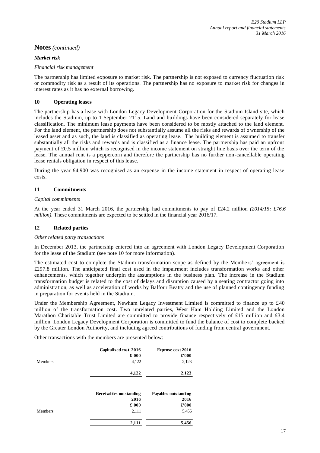## *Market risk*

### *Financial risk management*

The partnership has limited exposure to market risk. The partnership is not exposed to currency fluctuation risk or commodity risk as a result of its operations. The partnership has no exposure to market risk for changes in interest rates as it has no external borrowing.

## **10 Operating leases**

The partnership has a lease with London Legacy Development Corporation for the Stadium Island site, which includes the Stadium, up to 1 September 2115. Land and buildings have been considered separately for lease classification. The minimum lease payments have been considered to be mostly attached to the land element. For the land element, the partnership does not substantially assume all the risks and rewards of ownership of the leased asset and as such, the land is classified as operating lease. The building element is assumed to transfer substantially all the risks and rewards and is classified as a finance lease. The partnership has paid an upfront payment of £0.5 million which is recognised in the income statement on straight line basis over the term of the lease. The annual rent is a peppercorn and therefore the partnership has no further non-cancellable operating lease rentals obligation in respect of this lease.

During the year £4,900 was recognised as an expense in the income statement in respect of operating lease costs.

### **11 Commitments**

### *Capital commitments*

At the year ended 31 March 2016, the partnership had commitments to pay of £24.2 million *(2014/15: £76.6 million)*. These commitments are expected to be settled in the financial year 2016/17.

## **12 Related parties**

### *Other related party transactions*

In December 2013, the partnership entered into an agreement with London Legacy Development Corporation for the lease of the Stadium (see note 10 for more information).

The estimated cost to complete the Stadium transformation scope as defined by the Members' agreement is £297.8 million. The anticipated final cost used in the impairment includes transformation works and other enhancements, which together underpin the assumptions in the business plan. The increase in the Stadium transformation budget is related to the cost of delays and disruption caused by a seating contractor going into administration, as well as acceleration of works by Balfour Beatty and the use of planned contingency funding in preparation for events held in the Stadium.

Under the Membership Agreement, Newham Legacy Investment Limited is committed to finance up to  $\text{\pounds}40$ million of the transformation cost. Two unrelated parties, West Ham Holding Limited and the London Marathon Charitable Trust Limited are committed to provide finance respectively of £15 million and £3.4 million. London Legacy Development Corporation is committed to fund the balance of cost to complete backed by the Greater London Authority, and including agreed contributions of funding from central government.

Other transactions with the members are presented below:

| Members | Capitalised cost 2016<br>$\pounds 000$<br>4,122 | <b>Expense cost 2016</b><br>$\pounds 000$<br>2,123 |
|---------|-------------------------------------------------|----------------------------------------------------|
|         | 4,122                                           | 2,123                                              |
|         | Receivables outstanding                         | Payables outstanding                               |
|         | 2016                                            | 2016                                               |
|         | $\pounds 000$                                   | £'000                                              |
| Members | 2,111                                           | 5,456                                              |
|         | 2,111                                           | 5,456                                              |